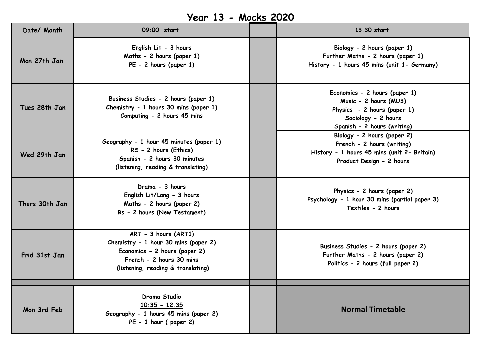## **Year 13 - Mocks 2020**

| Date/ Month    | 09:00 start                                                                                                                                                     | 13.30 start                                                                                                                                 |
|----------------|-----------------------------------------------------------------------------------------------------------------------------------------------------------------|---------------------------------------------------------------------------------------------------------------------------------------------|
| Mon 27th Jan   | English Lit - 3 hours<br>Maths - 2 hours (paper 1)<br>PE - 2 hours (paper 1)                                                                                    | Biology - 2 hours (paper 1)<br>Further Maths - 2 hours (paper 1)<br>History - 1 hours 45 mins (unit 1- Germany)                             |
| Tues 28th Jan  | Business Studies - 2 hours (paper 1)<br>Chemistry - 1 hours 30 mins (paper 1)<br>Computing - 2 hours 45 mins                                                    | Economics - 2 hours (paper 1)<br>Music - 2 hours (MU3)<br>Physics - 2 hours (paper 1)<br>Sociology - 2 hours<br>Spanish - 2 hours (writing) |
| Wed 29th Jan   | Geography - 1 hour 45 minutes (paper 1)<br>RS - 2 hours (Ethics)<br>Spanish - 2 hours 30 minutes<br>(listening, reading & translating)                          | Biology - 2 hours (paper 2)<br>French - 2 hours (writing)<br>History - 1 hours 45 mins (unit 2- Britain)<br>Product Design - 2 hours        |
| Thurs 30th Jan | Drama - 3 hours<br>English Lit/Lang - 3 hours<br>Maths - 2 hours (paper 2)<br>Rs - 2 hours (New Testament)                                                      | Physics - 2 hours (paper 2)<br>Psychology - 1 hour 30 mins (partial paper 3)<br>Textiles - 2 hours                                          |
| Frid 31st Jan  | ART - 3 hours (ART1)<br>Chemistry - 1 hour 30 mins (paper 2)<br>Economics - 2 hours (paper 2)<br>French - 2 hours 30 mins<br>(listening, reading & translating) | Business Studies - 2 hours (paper 2)<br>Further Maths - 2 hours (paper 2)<br>Politics - 2 hours (full paper 2)                              |
| Mon 3rd Feb    | Drama Studio<br>$10:35 - 12.35$<br>Geography - 1 hours 45 mins (paper 2)<br>$PE - 1$ hour (paper 2)                                                             | <b>Normal Timetable</b>                                                                                                                     |